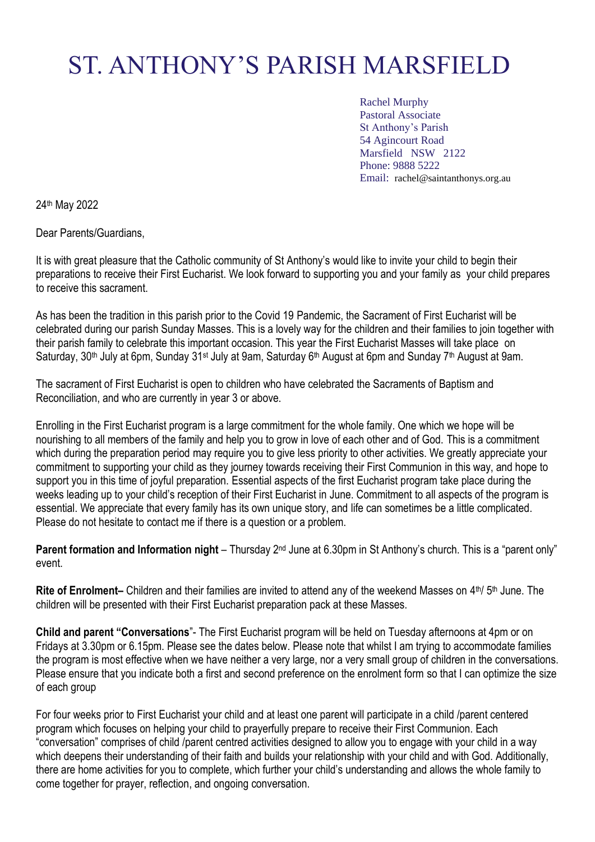# ST. ANTHONY'S PARISH MARSFIELD

Rachel Murphy Pastoral Associate St Anthony's Parish 54 Agincourt Road Marsfield NSW 2122 Phone: 9888 5222 Email: rachel@saintanthonys.org.au

24th May 2022

Dear Parents/Guardians,

It is with great pleasure that the Catholic community of St Anthony's would like to invite your child to begin their preparations to receive their First Eucharist. We look forward to supporting you and your family as your child prepares to receive this sacrament.

As has been the tradition in this parish prior to the Covid 19 Pandemic, the Sacrament of First Eucharist will be celebrated during our parish Sunday Masses. This is a lovely way for the children and their families to join together with their parish family to celebrate this important occasion. This year the First Eucharist Masses will take place on Saturday, 30<sup>th</sup> July at 6pm, Sunday 31<sup>st</sup> July at 9am, Saturday 6<sup>th</sup> August at 6pm and Sunday 7<sup>th</sup> August at 9am.

The sacrament of First Eucharist is open to children who have celebrated the Sacraments of Baptism and Reconciliation, and who are currently in year 3 or above.

Enrolling in the First Eucharist program is a large commitment for the whole family. One which we hope will be nourishing to all members of the family and help you to grow in love of each other and of God. This is a commitment which during the preparation period may require you to give less priority to other activities. We greatly appreciate your commitment to supporting your child as they journey towards receiving their First Communion in this way, and hope to support you in this time of joyful preparation. Essential aspects of the first Eucharist program take place during the weeks leading up to your child's reception of their First Eucharist in June. Commitment to all aspects of the program is essential. We appreciate that every family has its own unique story, and life can sometimes be a little complicated. Please do not hesitate to contact me if there is a question or a problem.

**Parent formation and Information night** – Thursday 2<sup>nd</sup> June at 6.30pm in St Anthony's church. This is a "parent only" event.

Rite of Enrolment– Children and their families are invited to attend any of the weekend Masses on 4<sup>th</sup>/ 5<sup>th</sup> June. The children will be presented with their First Eucharist preparation pack at these Masses.

**Child and parent "Conversations**"- The First Eucharist program will be held on Tuesday afternoons at 4pm or on Fridays at 3.30pm or 6.15pm. Please see the dates below. Please note that whilst I am trying to accommodate families the program is most effective when we have neither a very large, nor a very small group of children in the conversations. Please ensure that you indicate both a first and second preference on the enrolment form so that I can optimize the size of each group

For four weeks prior to First Eucharist your child and at least one parent will participate in a child /parent centered program which focuses on helping your child to prayerfully prepare to receive their First Communion. Each "conversation" comprises of child /parent centred activities designed to allow you to engage with your child in a way which deepens their understanding of their faith and builds your relationship with your child and with God. Additionally, there are home activities for you to complete, which further your child's understanding and allows the whole family to come together for prayer, reflection, and ongoing conversation.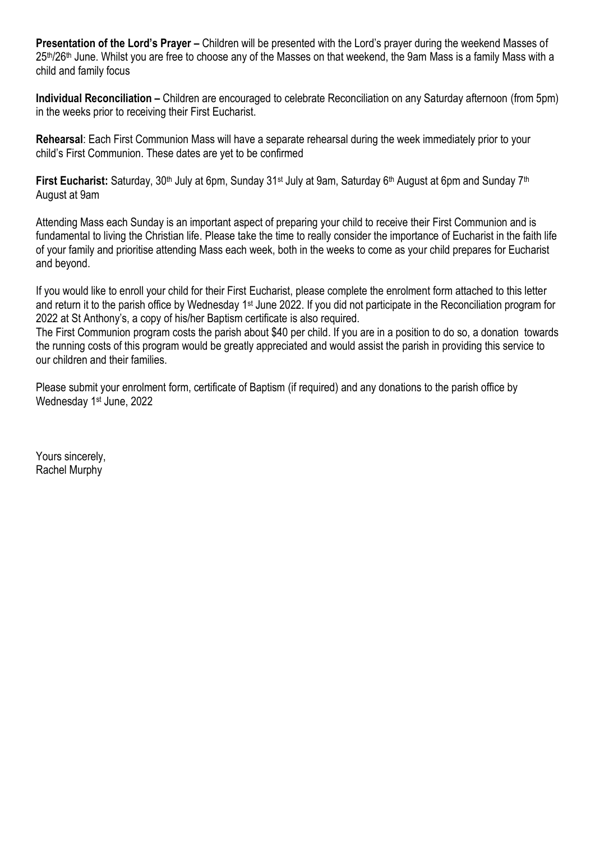**Presentation of the Lord's Prayer –** Children will be presented with the Lord's prayer during the weekend Masses of  $25<sup>th</sup>/26<sup>th</sup>$  June. Whilst you are free to choose any of the Masses on that weekend, the 9am Mass is a family Mass with a child and family focus

**Individual Reconciliation –** Children are encouraged to celebrate Reconciliation on any Saturday afternoon (from 5pm) in the weeks prior to receiving their First Eucharist.

**Rehearsal**: Each First Communion Mass will have a separate rehearsal during the week immediately prior to your child's First Communion. These dates are yet to be confirmed

**First Eucharist:** Saturday, 30<sup>th</sup> July at 6pm, Sunday 31<sup>st</sup> July at 9am, Saturday 6<sup>th</sup> August at 6pm and Sunday 7<sup>th</sup> August at 9am

Attending Mass each Sunday is an important aspect of preparing your child to receive their First Communion and is fundamental to living the Christian life. Please take the time to really consider the importance of Eucharist in the faith life of your family and prioritise attending Mass each week, both in the weeks to come as your child prepares for Eucharist and beyond.

If you would like to enroll your child for their First Eucharist, please complete the enrolment form attached to this letter and return it to the parish office by Wednesday 1<sup>st</sup> June 2022. If you did not participate in the Reconciliation program for 2022 at St Anthony's, a copy of his/her Baptism certificate is also required.

The First Communion program costs the parish about \$40 per child. If you are in a position to do so, a donation towards the running costs of this program would be greatly appreciated and would assist the parish in providing this service to our children and their families.

Please submit your enrolment form, certificate of Baptism (if required) and any donations to the parish office by Wednesday 1<sup>st</sup> June, 2022

Yours sincerely, Rachel Murphy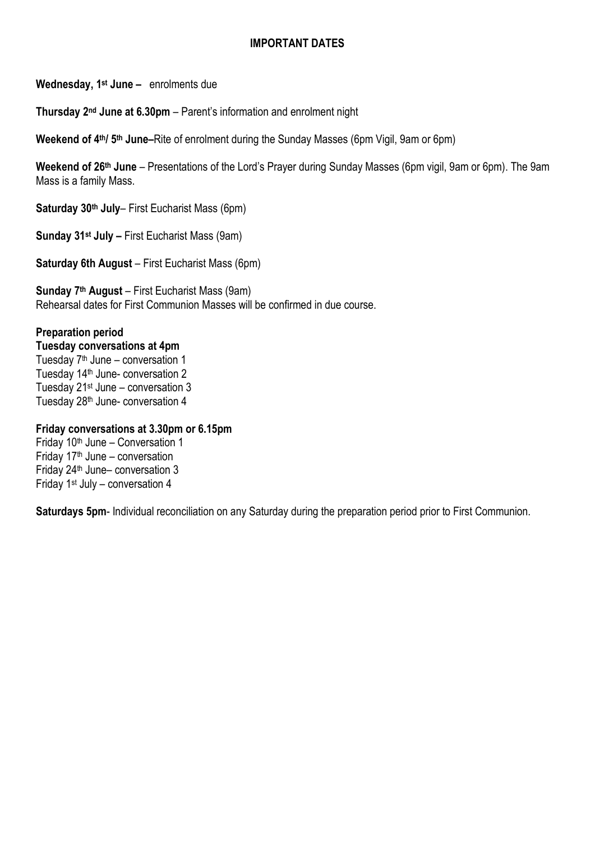#### **IMPORTANT DATES**

**Wednesday, 1 st June –** enrolments due

**Thursday 2nd June at 6.30pm** – Parent's information and enrolment night

**Weekend of 4<sup>th</sup>/ 5<sup>th</sup> June–Rite of enrolment during the Sunday Masses (6pm Vigil, 9am or 6pm)** 

**Weekend of 26th June** – Presentations of the Lord's Prayer during Sunday Masses (6pm vigil, 9am or 6pm). The 9am Mass is a family Mass.

**Saturday 30th July**– First Eucharist Mass (6pm)

**Sunday 31st July –** First Eucharist Mass (9am)

**Saturday 6th August** – First Eucharist Mass (6pm)

**Sunday 7 th August** – First Eucharist Mass (9am) Rehearsal dates for First Communion Masses will be confirmed in due course.

#### **Preparation period**

**Tuesday conversations at 4pm** Tuesday 7 th June – conversation 1 Tuesday 14<sup>th</sup> June- conversation 2 Tuesday 21<sup>st</sup> June - conversation 3 Tuesday 28<sup>th</sup> June- conversation 4

#### **Friday conversations at 3.30pm or 6.15pm**

Friday  $10<sup>th</sup>$  June – Conversation 1 Friday  $17<sup>th</sup>$  June – conversation Friday 24<sup>th</sup> June- conversation 3 Friday 1st July – conversation 4

**Saturdays 5pm**- Individual reconciliation on any Saturday during the preparation period prior to First Communion.